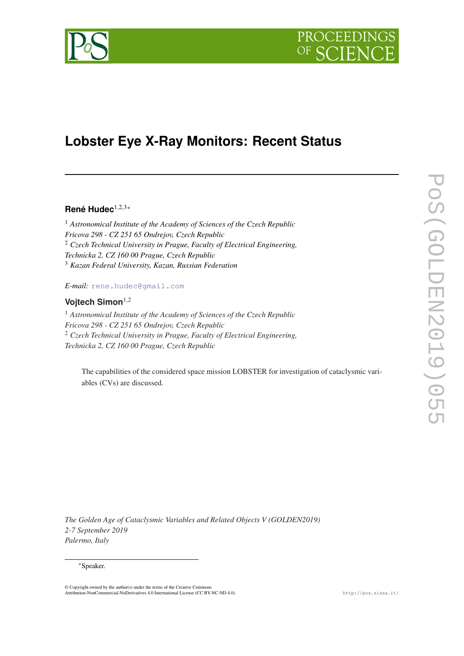



# **Lobster Eye X-Ray Monitors: Recent Status**

# **René Hudec**1,2,3\*

<sup>1</sup> *Astronomical Institute of the Academy of Sciences of the Czech Republic Fricova 298 - CZ 251 65 Ondrejov, Czech Republic* <sup>2</sup> *Czech Technical University in Prague, Faculty of Electrical Engineering, Technicka 2, CZ 160 00 Prague, Czech Republic* <sup>3</sup> *Kazan Federal University, Kazan, Russian Federation*

*E-mail:* [rene.hudec@gmail.com](mailto:rene.hudec@gmail.com)

## **Vojtech Simon**1,<sup>2</sup>

<sup>1</sup> *Astronomical Institute of the Academy of Sciences of the Czech Republic Fricova 298 - CZ 251 65 Ondrejov, Czech Republic* <sup>2</sup> *Czech Technical University in Prague, Faculty of Electrical Engineering, Technicka 2, CZ 160 00 Prague, Czech Republic*

The capabilities of the considered space mission LOBSTER for investigation of cataclysmic variables (CVs) are discussed.

*The Golden Age of Cataclysmic Variables and Related Objects V (GOLDEN2019) 2-7 September 2019 Palermo, Italy*

#### \*Speaker.

© Copyright owned by the author(s) under the terms of the Creative Commons Attribution-NonCommercial-NoDerivatives 4.0 International License (CC BY-NC-ND 4.0). http://pos.sissa.it/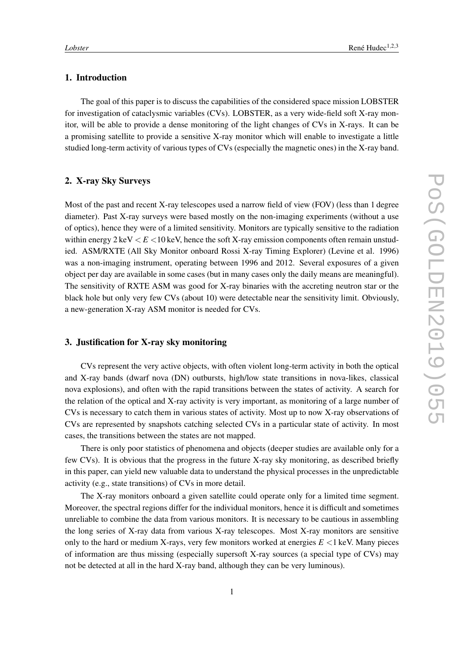# 1. Introduction

The goal of this paper is to discuss the capabilities of the considered space mission LOBSTER for investigation of cataclysmic variables (CVs). LOBSTER, as a very wide-field soft X-ray monitor, will be able to provide a dense monitoring of the light changes of CVs in X-rays. It can be a promising satellite to provide a sensitive X-ray monitor which will enable to investigate a little studied long-term activity of various types of CVs (especially the magnetic ones) in the X-ray band.

#### 2. X-ray Sky Surveys

Most of the past and recent X-ray telescopes used a narrow field of view (FOV) (less than 1 degree diameter). Past X-ray surveys were based mostly on the non-imaging experiments (without a use of optics), hence they were of a limited sensitivity. Monitors are typically sensitive to the radiation within energy  $2 \text{ keV} < E < 10 \text{ keV}$ , hence the soft X-ray emission components often remain unstudied. ASM/RXTE (All Sky Monitor onboard Rossi X-ray Timing Explorer) (Levine et al. 1996) was a non-imaging instrument, operating between 1996 and 2012. Several exposures of a given object per day are available in some cases (but in many cases only the daily means are meaningful). The sensitivity of RXTE ASM was good for X-ray binaries with the accreting neutron star or the black hole but only very few CVs (about 10) were detectable near the sensitivity limit. Obviously, a new-generation X-ray ASM monitor is needed for CVs.

## 3. Justification for X-ray sky monitoring

CVs represent the very active objects, with often violent long-term activity in both the optical and X-ray bands (dwarf nova (DN) outbursts, high/low state transitions in nova-likes, classical nova explosions), and often with the rapid transitions between the states of activity. A search for the relation of the optical and X-ray activity is very important, as monitoring of a large number of CVs is necessary to catch them in various states of activity. Most up to now X-ray observations of CVs are represented by snapshots catching selected CVs in a particular state of activity. In most cases, the transitions between the states are not mapped.

There is only poor statistics of phenomena and objects (deeper studies are available only for a few CVs). It is obvious that the progress in the future X-ray sky monitoring, as described briefly in this paper, can yield new valuable data to understand the physical processes in the unpredictable activity (e.g., state transitions) of CVs in more detail.

The X-ray monitors onboard a given satellite could operate only for a limited time segment. Moreover, the spectral regions differ for the individual monitors, hence it is difficult and sometimes unreliable to combine the data from various monitors. It is necessary to be cautious in assembling the long series of X-ray data from various X-ray telescopes. Most X-ray monitors are sensitive only to the hard or medium X-rays, very few monitors worked at energies  $E < 1$  keV. Many pieces of information are thus missing (especially supersoft X-ray sources (a special type of CVs) may not be detected at all in the hard X-ray band, although they can be very luminous).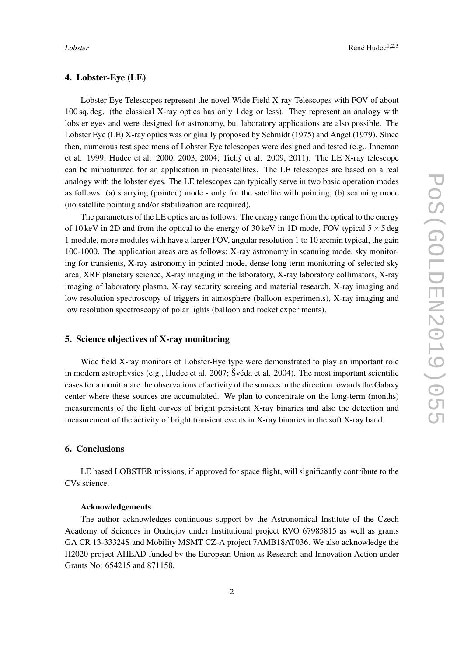#### 4. Lobster-Eye (LE)

Lobster-Eye Telescopes represent the novel Wide Field X-ray Telescopes with FOV of about 100 sq. deg. (the classical X-ray optics has only 1 deg or less). They represent an analogy with lobster eyes and were designed for astronomy, but laboratory applications are also possible. The Lobster Eye (LE) X-ray optics was originally proposed by Schmidt (1975) and Angel (1979). Since then, numerous test specimens of Lobster Eye telescopes were designed and tested (e.g., Inneman et al. 1999; Hudec et al. 2000, 2003, 2004; Tichý et al. 2009, 2011). The LE X-ray telescope can be miniaturized for an application in picosatellites. The LE telescopes are based on a real analogy with the lobster eyes. The LE telescopes can typically serve in two basic operation modes as follows: (a) starrying (pointed) mode - only for the satellite with pointing; (b) scanning mode (no satellite pointing and/or stabilization are required).

The parameters of the LE optics are as follows. The energy range from the optical to the energy of 10 keV in 2D and from the optical to the energy of 30 keV in 1D mode, FOV typical  $5 \times 5$  deg 1 module, more modules with have a larger FOV, angular resolution 1 to 10 arcmin typical, the gain 100-1000. The application areas are as follows: X-ray astronomy in scanning mode, sky monitoring for transients, X-ray astronomy in pointed mode, dense long term monitoring of selected sky area, XRF planetary science, X-ray imaging in the laboratory, X-ray laboratory collimators, X-ray imaging of laboratory plasma, X-ray security screeing and material research, X-ray imaging and low resolution spectroscopy of triggers in atmosphere (balloon experiments), X-ray imaging and low resolution spectroscopy of polar lights (balloon and rocket experiments).

# 5. Science objectives of X-ray monitoring

Wide field X-ray monitors of Lobster-Eye type were demonstrated to play an important role in modern astrophysics (e.g., Hudec et al. 2007; Švéda et al. 2004). The most important scientific cases for a monitor are the observations of activity of the sources in the direction towards the Galaxy center where these sources are accumulated. We plan to concentrate on the long-term (months) measurements of the light curves of bright persistent X-ray binaries and also the detection and measurement of the activity of bright transient events in X-ray binaries in the soft X-ray band.

## 6. Conclusions

LE based LOBSTER missions, if approved for space flight, will significantly contribute to the CVs science.

#### Acknowledgements

The author acknowledges continuous support by the Astronomical Institute of the Czech Academy of Sciences in Ondrejov under Institutional project RVO 67985815 as well as grants GA CR 13-33324S and Mobility MSMT CZ-A project 7AMB18AT036. We also acknowledge the H2020 project AHEAD funded by the European Union as Research and Innovation Action under Grants No: 654215 and 871158.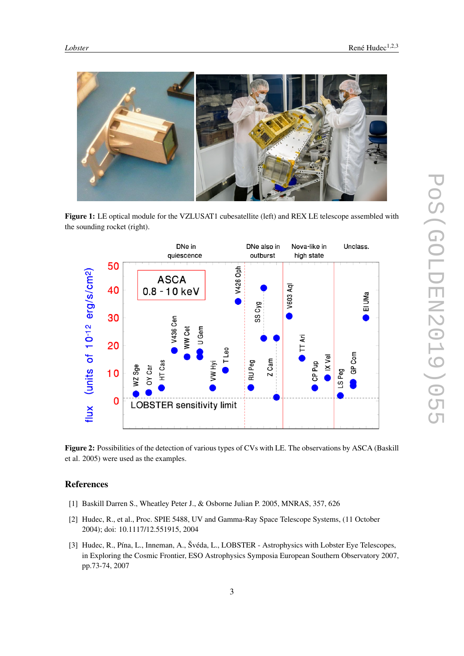

Figure 1: LE optical module for the VZLUSAT1 cubesatellite (left) and REX LE telescope assembled with the sounding rocket (right).



Figure 2: Possibilities of the detection of various types of CVs with LE. The observations by ASCA (Baskill et al. 2005) were used as the examples.

# References

- [1] Baskill Darren S., Wheatley Peter J., & Osborne Julian P. 2005, MNRAS, 357, 626
- [2] Hudec, R., et al., Proc. SPIE 5488, UV and Gamma-Ray Space Telescope Systems, (11 October 2004); doi: 10.1117/12.551915, 2004
- [3] Hudec, R., Pína, L., Inneman, A., Švéda, L., LOBSTER Astrophysics with Lobster Eye Telescopes, in Exploring the Cosmic Frontier, ESO Astrophysics Symposia European Southern Observatory 2007, pp.73-74, 2007